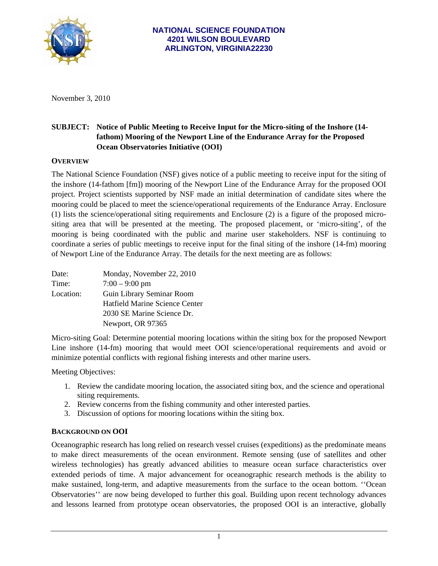

November 3, 2010

# **SUBJECT: Notice of Public Meeting to Receive Input for the Micro-siting of the Inshore (14 fathom) Mooring of the Newport Line of the Endurance Array for the Proposed Ocean Observatories Initiative (OOI)**

## **OVERVIEW**

The National Science Foundation (NSF) gives notice of a public meeting to receive input for the siting of the inshore (14-fathom [fm]) mooring of the Newport Line of the Endurance Array for the proposed OOI project. Project scientists supported by NSF made an initial determination of candidate sites where the mooring could be placed to meet the science/operational requirements of the Endurance Array. Enclosure (1) lists the science/operational siting requirements and Enclosure (2) is a figure of the proposed micrositing area that will be presented at the meeting. The proposed placement, or 'micro-siting', of the mooring is being coordinated with the public and marine user stakeholders. NSF is continuing to coordinate a series of public meetings to receive input for the final siting of the inshore (14-fm) mooring of Newport Line of the Endurance Array. The details for the next meeting are as follows:

| Date:     | Monday, November 22, 2010      |
|-----------|--------------------------------|
| Time:     | $7:00 - 9:00$ pm               |
| Location: | Guin Library Seminar Room      |
|           | Hatfield Marine Science Center |
|           | 2030 SE Marine Science Dr.     |
|           | Newport, OR 97365              |

Micro-siting Goal: Determine potential mooring locations within the siting box for the proposed Newport Line inshore (14-fm) mooring that would meet OOI science/operational requirements and avoid or minimize potential conflicts with regional fishing interests and other marine users.

Meeting Objectives:

- 1. Review the candidate mooring location, the associated siting box, and the science and operational siting requirements.
- 2. Review concerns from the fishing community and other interested parties.
- 3. Discussion of options for mooring locations within the siting box.

#### **BACKGROUND ON OOI**

Oceanographic research has long relied on research vessel cruises (expeditions) as the predominate means to make direct measurements of the ocean environment. Remote sensing (use of satellites and other wireless technologies) has greatly advanced abilities to measure ocean surface characteristics over extended periods of time. A major advancement for oceanographic research methods is the ability to make sustained, long-term, and adaptive measurements from the surface to the ocean bottom. ''Ocean Observatories'' are now being developed to further this goal. Building upon recent technology advances and lessons learned from prototype ocean observatories, the proposed OOI is an interactive, globally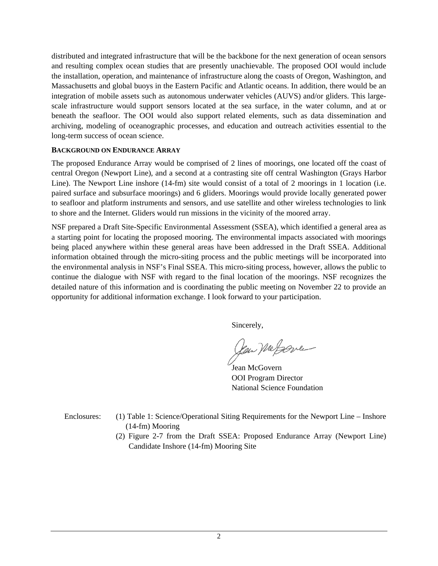distributed and integrated infrastructure that will be the backbone for the next generation of ocean sensors and resulting complex ocean studies that are presently unachievable. The proposed OOI would include the installation, operation, and maintenance of infrastructure along the coasts of Oregon, Washington, and Massachusetts and global buoys in the Eastern Pacific and Atlantic oceans. In addition, there would be an integration of mobile assets such as autonomous underwater vehicles (AUVS) and/or gliders. This largescale infrastructure would support sensors located at the sea surface, in the water column, and at or beneath the seafloor. The OOI would also support related elements, such as data dissemination and archiving, modeling of oceanographic processes, and education and outreach activities essential to the long-term success of ocean science.

### **BACKGROUND ON ENDURANCE ARRAY**

The proposed Endurance Array would be comprised of 2 lines of moorings, one located off the coast of central Oregon (Newport Line), and a second at a contrasting site off central Washington (Grays Harbor Line). The Newport Line inshore (14-fm) site would consist of a total of 2 moorings in 1 location (i.e. paired surface and subsurface moorings) and 6 gliders. Moorings would provide locally generated power to seafloor and platform instruments and sensors, and use satellite and other wireless technologies to link to shore and the Internet. Gliders would run missions in the vicinity of the moored array.

NSF prepared a Draft Site-Specific Environmental Assessment (SSEA), which identified a general area as a starting point for locating the proposed mooring. The environmental impacts associated with moorings being placed anywhere within these general areas have been addressed in the Draft SSEA. Additional information obtained through the micro-siting process and the public meetings will be incorporated into the environmental analysis in NSF's Final SSEA. This micro-siting process, however, allows the public to continue the dialogue with NSF with regard to the final location of the moorings. NSF recognizes the detailed nature of this information and is coordinating the public meeting on November 22 to provide an opportunity for additional information exchange. I look forward to your participation.

Sincerely,

Jan MeJove

 Jean McGovern OOI Program Director National Science Foundation

- Enclosures: (1) Table 1: Science/Operational Siting Requirements for the Newport Line Inshore (14-fm) Mooring
	- (2) Figure 2-7 from the Draft SSEA: Proposed Endurance Array (Newport Line) Candidate Inshore (14-fm) Mooring Site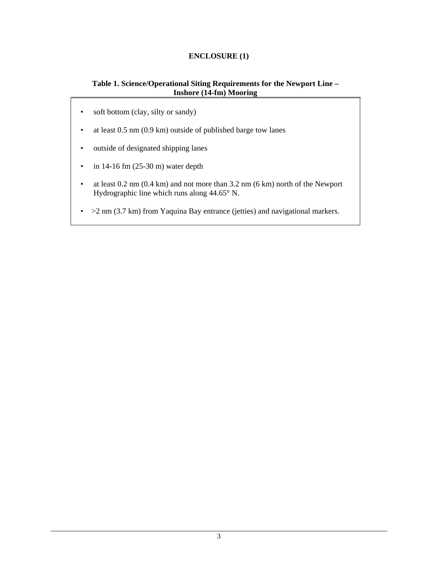## **ENCLOSURE (1)**

## **Table 1. Science/Operational Siting Requirements for the Newport Line – Inshore (14-fm) Mooring**

- soft bottom (clay, silty or sandy)
- at least 0.5 nm (0.9 km) outside of published barge tow lanes
- outside of designated shipping lanes
- $\cdot$  in 14-16 fm (25-30 m) water depth
- at least 0.2 nm (0.4 km) and not more than 3.2 nm (6 km) north of the Newport Hydrographic line which runs along 44.65° N.
- > 2 nm (3.7 km) from Yaquina Bay entrance (jetties) and navigational markers.